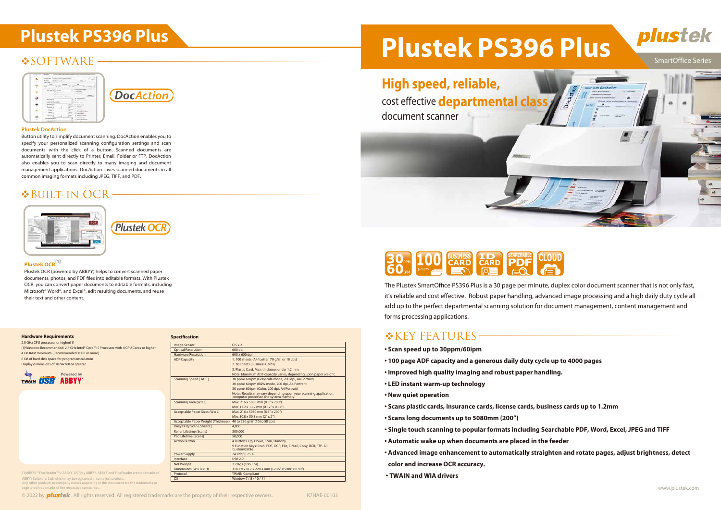# **SOFTWARE**





### **Plustek DocAction**







The Plustek SmartOffice PS396 Plus is a 30 page per minute, duplex color document scanner that is not only fast, it's reliable and cost effective. Robust paper handling, advanced image processing and a high daily duty cycle all add up to the perfect departmental scanning solution for document management, content management and forms processing applications.

# **\*KEY FEATURES-**

- **Scan speed up to 30ppm/60ipm**
- **100 page ADF capacity and a generous daily duty cycle up to 4000 pages**
- **Improved high quality imaging and robust paper handling.**
- **LED instant warm-up technology**
- **New quiet operation**
- **Scans plastic cards, insurance cards, license cards, business cards up to 1.2mm**
- **Scans long documents up to 5080mm (200")**
- **Single touch scanning to popular formats including Searchable PDF, Word, Excel, JPEG and TIFF**
- **Automatic wake up when documents are placed in the feeder**
- **Advanced image enhancement to automatically straighten and rotate pages, adjust brightness, detect color and increase OCR accuracy.**
- **TWAIN and WIA drivers**

2.0 GHz CPU processor or higher<sup>[1]</sup> [1]Windows Recommended: 2.8 GHz Intel® Core™ i5 Processor with 4 CPU Cores or higher 4 GB RAM minimum (Recommended: 8 GB or more) 6 GB of hard-disk space for program installation Display dimensions of 1024x768 or greater





Button utility to simplify document scanning. DocAction enables you to specify your personalized scanning configuration settings and scan documents with the click of a button. Scanned documents are automatically sent directly to Printer, Email, Folder or FTP. DocAction also enables you to scan directly to many imaging and document management applications. DocAction saves scanned documents in all common imaging formats including JPEG, TIFF, and PDF.

# Built-in OCR



### **Plustek OCR**[1]

Plustek OCR (powered by ABBYY) helps to convert scanned paper documents, photos, and PDF files into editable formats. With Plustek OCR, you can convert paper documents to editable formats, including Microsoft® Word®, and Excel®, edit resulting documents, and reuse their text and other content.



### **Hardware Requirements**

| <b>Image Sensor</b>                 | $CIS \times 2$                                                                                            |
|-------------------------------------|-----------------------------------------------------------------------------------------------------------|
| <b>Optical Resolution</b>           | 600 dpi                                                                                                   |
| <b>Hardware Resolution</b>          | 600 x 600 dpi                                                                                             |
| <b>ADF Capacity</b>                 | 1.100 sheets (A4/ Letter, 70 g/m <sup>2</sup> or 18 Lbs)                                                  |
|                                     | 2.30 sheets (Business Cards)                                                                              |
|                                     | 3. Plastic Card, Max. thickness under 1.2 mm.                                                             |
|                                     | Note: Maximum ADF capacity varies, depending upon paper weight.                                           |
| Scanning Speed (ADF)                | 30 ppm/60 ipm (Grayscale mode, 200 dpi, A4 Portrait)                                                      |
|                                     | 30 ppm/60 ipm (B&W mode, 200 dpi, A4 Portrait)                                                            |
|                                     | 30 ppm/60 ipm (Color, 200 dpi, A4 Portrait)                                                               |
|                                     | Note: Results may vary depending upon your scanning application,<br>computer processor and system memory. |
| Scanning Area (W x L)               | Max: 216 x 5080 mm (8.5" x 200")                                                                          |
|                                     | Min: 13.2 x 13.2 mm (0.52" x 0.52")                                                                       |
| Acceptable Paper Sizes (W x L)      | Max: 216 x 5080 mm (8.5" x 200")                                                                          |
|                                     | Min: 50.8 x 50.8 mm (2" x 2")                                                                             |
| Acceptable Paper Weight (Thickness) | 40 to 220 g/m <sup>2</sup> (10 to 58 Lbs)                                                                 |
| Daily Duty Scan (Sheets)            | 4.000                                                                                                     |
| <b>Roller Lifetime (Scans)</b>      | 300.000                                                                                                   |
| Pad Lifetime (Scans)                | 50,000                                                                                                    |
| <b>Action Button</b>                | 4 Buttons: Up. Down. Scan. Standby                                                                        |
|                                     | 9 Function Keys: Scan, PDF, OCR, File, E-Mail, Copy, BCR, FTP. All<br>Customizable.                       |
| Power Supply                        | 24 Vdc/ 0.75 A                                                                                            |
| Interface                           | <b>USB 2.0</b>                                                                                            |
| <b>Net Weight</b>                   | 2.7 Kgs (5.95 Lbs)                                                                                        |
| Dimensions (W x D x H)              | 318.7 x 230.7 x 228.3 mm (12.55" x 9.08" x 8.99")                                                         |
| Protocol                            | <b>TWAIN Compliant</b>                                                                                    |
| <b>OS</b>                           | Window 7/8/10/11                                                                                          |

|  | <b>Specification</b> |  |
|--|----------------------|--|
|  |                      |  |

[1]ABBYY™ FineReader™ © ABBYY. OCR by ABBYY. ABBYY and FineReader are trademarks of ABBYY Software, Ltd. which may be registered in some jurisdiction Any other products or company names appearing in this document are the trademarks or

registered trademarks of the respective companies.

© 2022 by **plustek**. All rights reserved. All registered trademarks are the property of their respective owners. K7HAE-00103

# Plustek PS396 Plus<br>
Plustek PS396 Plus